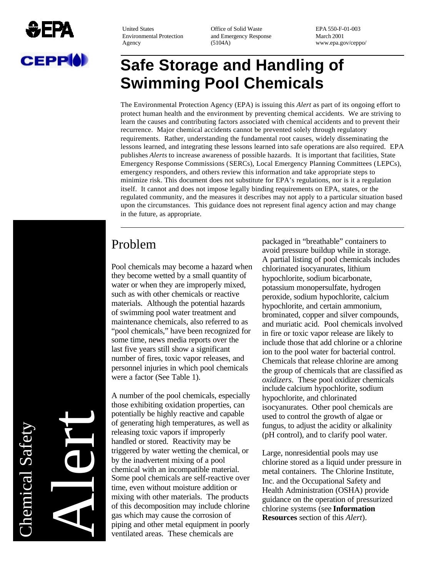

Environmental Protection and Emergency Response March 2001<br>Agency (5104A) www.ena.go

United States Office of Solid Waste EPA 550-F-01-003 Agency (5104A) www.epa.gov/ceppo/

# **Safe Storage and Handling of Swimming Pool Chemicals**

The Environmental Protection Agency (EPA) is issuing this *Alert* as part of its ongoing effort to protect human health and the environment by preventing chemical accidents. We are striving to learn the causes and contributing factors associated with chemical accidents and to prevent their recurrence. Major chemical accidents cannot be prevented solely through regulatory requirements. Rather, understanding the fundamental root causes, widely disseminating the lessons learned, and integrating these lessons learned into safe operations are also required. EPA publishes *Alerts* to increase awareness of possible hazards. It is important that facilities, State Emergency Response Commissions (SERCs), Local Emergency Planning Committees (LEPCs), emergency responders, and others review this information and take appropriate steps to minimize risk. This document does not substitute for EPA's regulations, nor is it a regulation itself. It cannot and does not impose legally binding requirements on EPA, states, or the regulated community, and the measures it describes may not apply to a particular situation based upon the circumstances. This guidance does not represent final agency action and may change in the future, as appropriate.

### Problem

Pool chemicals may become a hazard when they become wetted by a small quantity of water or when they are improperly mixed, such as with other chemicals or reactive materials. Although the potential hazards of swimming pool water treatment and maintenance chemicals, also referred to as "pool chemicals," have been recognized for some time, news media reports over the last five years still show a significant number of fires, toxic vapor releases, and personnel injuries in which pool chemicals were a factor (See Table 1).

A number of the pool chemicals, especially those exhibiting oxidation properties, can potentially be highly reactive and capable of generating high temperatures, as well as releasing toxic vapors if improperly handled or stored. Reactivity may be triggered by water wetting the chemical, or by the inadvertent mixing of a pool chemical with an incompatible material. Some pool chemicals are self-reactive over time, even without moisture addition or mixing with other materials. The products of this decomposition may include chlorine gas which may cause the corrosion of piping and other metal equipment in poorly ventilated areas. These chemicals are

packaged in "breathable" containers to avoid pressure buildup while in storage. A partial listing of pool chemicals includes chlorinated isocyanurates, lithium hypochlorite, sodium bicarbonate, potassium monopersulfate, hydrogen peroxide, sodium hypochlorite, calcium hypochlorite, and certain ammonium, brominated, copper and silver compounds, and muriatic acid. Pool chemicals involved in fire or toxic vapor release are likely to include those that add chlorine or a chlorine ion to the pool water for bacterial control. Chemicals that release chlorine are among the group of chemicals that are classified as *oxidizers*. These pool oxidizer chemicals include calcium hypochlorite, sodium hypochlorite, and chlorinated isocyanurates. Other pool chemicals are used to control the growth of algae or fungus, to adjust the acidity or alkalinity (pH control), and to clarify pool water.

Large, nonresidential pools may use chlorine stored as a liquid under pressure in metal containers. The Chlorine Institute, Inc. and the Occupational Safety and Health Administration (OSHA) provide guidance on the operation of pressurized chlorine systems (see **Information Resources** section of this *Alert*).

**Chemical Safety** Chemical Safety Alert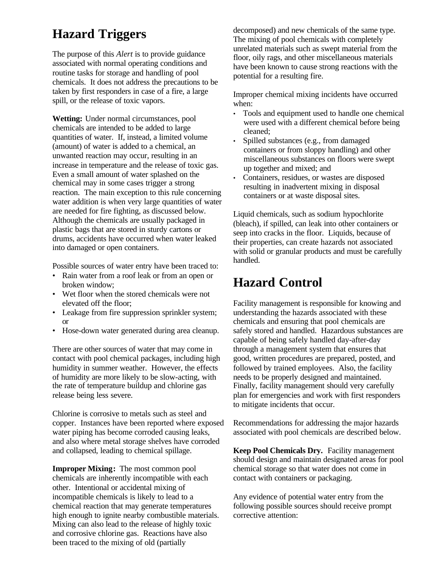## **Hazard Triggers**

The purpose of this *Alert* is to provide guidance associated with normal operating conditions and routine tasks for storage and handling of pool chemicals. It does not address the precautions to be taken by first responders in case of a fire, a large spill, or the release of toxic vapors.

**Wetting:** Under normal circumstances, pool chemicals are intended to be added to large quantities of water. If, instead, a limited volume (amount) of water is added to a chemical, an unwanted reaction may occur, resulting in an increase in temperature and the release of toxic gas. Even a small amount of water splashed on the chemical may in some cases trigger a strong reaction. The main exception to this rule concerning water addition is when very large quantities of water are needed for fire fighting, as discussed below. Although the chemicals are usually packaged in plastic bags that are stored in sturdy cartons or drums, accidents have occurred when water leaked into damaged or open containers.

Possible sources of water entry have been traced to:

- Rain water from a roof leak or from an open or broken window;
- Wet floor when the stored chemicals were not elevated off the floor;
- Leakage from fire suppression sprinkler system; or
- Hose-down water generated during area cleanup.

There are other sources of water that may come in contact with pool chemical packages, including high humidity in summer weather. However, the effects of humidity are more likely to be slow-acting, with the rate of temperature buildup and chlorine gas release being less severe.

Chlorine is corrosive to metals such as steel and copper. Instances have been reported where exposed water piping has become corroded causing leaks, and also where metal storage shelves have corroded and collapsed, leading to chemical spillage.

**Improper Mixing:** The most common pool chemicals are inherently incompatible with each other. Intentional or accidental mixing of incompatible chemicals is likely to lead to a chemical reaction that may generate temperatures high enough to ignite nearby combustible materials. Mixing can also lead to the release of highly toxic and corrosive chlorine gas. Reactions have also been traced to the mixing of old (partially

decomposed) and new chemicals of the same type. The mixing of pool chemicals with completely unrelated materials such as swept material from the floor, oily rags, and other miscellaneous materials have been known to cause strong reactions with the potential for a resulting fire.

Improper chemical mixing incidents have occurred when:

- Tools and equipment used to handle one chemical were used with a different chemical before being cleaned;
- Spilled substances (e.g., from damaged containers or from sloppy handling) and other miscellaneous substances on floors were swept up together and mixed; and
- Containers, residues, or wastes are disposed resulting in inadvertent mixing in disposal containers or at waste disposal sites.

Liquid chemicals, such as sodium hypochlorite (bleach), if spilled, can leak into other containers or seep into cracks in the floor. Liquids, because of their properties, can create hazards not associated with solid or granular products and must be carefully handled.

### **Hazard Control**

Facility management is responsible for knowing and understanding the hazards associated with these chemicals and ensuring that pool chemicals are safely stored and handled. Hazardous substances are capable of being safely handled day-after-day through a management system that ensures that good, written procedures are prepared, posted, and followed by trained employees. Also, the facility needs to be properly designed and maintained. Finally, facility management should very carefully plan for emergencies and work with first responders to mitigate incidents that occur.

Recommendations for addressing the major hazards associated with pool chemicals are described below.

**Keep Pool Chemicals Dry.** Facility management should design and maintain designated areas for pool chemical storage so that water does not come in contact with containers or packaging.

Any evidence of potential water entry from the following possible sources should receive prompt corrective attention: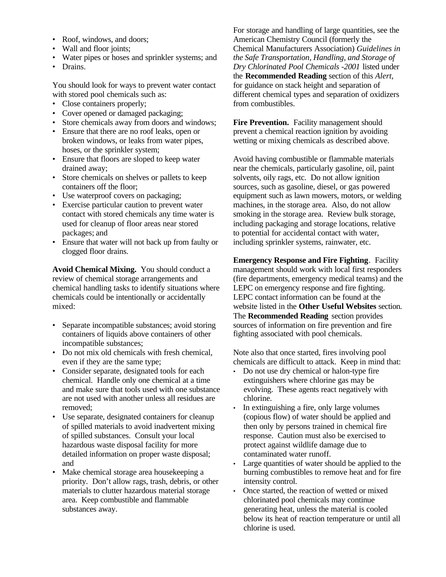- Roof, windows, and doors;
- Wall and floor joints;
- Water pipes or hoses and sprinkler systems; and
- Drains.

You should look for ways to prevent water contact with stored pool chemicals such as:

- Close containers properly;
- Cover opened or damaged packaging;
- Store chemicals away from doors and windows;
- Ensure that there are no roof leaks, open or broken windows, or leaks from water pipes, hoses, or the sprinkler system;
- Ensure that floors are sloped to keep water drained away;
- Store chemicals on shelves or pallets to keep containers off the floor;
- Use waterproof covers on packaging;
- Exercise particular caution to prevent water contact with stored chemicals any time water is used for cleanup of floor areas near stored packages; and
- Ensure that water will not back up from faulty or clogged floor drains.

**Avoid Chemical Mixing.** You should conduct a review of chemical storage arrangements and chemical handling tasks to identify situations where chemicals could be intentionally or accidentally mixed:

- Separate incompatible substances; avoid storing containers of liquids above containers of other incompatible substances;
- Do not mix old chemicals with fresh chemical, even if they are the same type;
- Consider separate, designated tools for each chemical. Handle only one chemical at a time and make sure that tools used with one substance are not used with another unless all residues are removed;
- Use separate, designated containers for cleanup of spilled materials to avoid inadvertent mixing of spilled substances. Consult your local hazardous waste disposal facility for more detailed information on proper waste disposal; and
- Make chemical storage area housekeeping a priority. Don't allow rags, trash, debris, or other materials to clutter hazardous material storage area. Keep combustible and flammable substances away.

For storage and handling of large quantities, see the American Chemistry Council (formerly the Chemical Manufacturers Association) *Guidelines in the Safe Transportation, Handling, and Storage of Dry Chlorinated Pool Chemicals -2001* listed under the **Recommended Reading** section of this *Alert*, for guidance on stack height and separation of different chemical types and separation of oxidizers from combustibles.

Fire Prevention. Facility management should prevent a chemical reaction ignition by avoiding wetting or mixing chemicals as described above.

Avoid having combustible or flammable materials near the chemicals, particularly gasoline, oil, paint solvents, oily rags, etc. Do not allow ignition sources, such as gasoline, diesel, or gas powered equipment such as lawn mowers, motors, or welding machines, in the storage area. Also, do not allow smoking in the storage area. Review bulk storage, including packaging and storage locations, relative to potential for accidental contact with water, including sprinkler systems, rainwater, etc.

**Emergency Response and Fire Fighting**. Facility management should work with local first responders (fire departments, emergency medical teams) and the LEPC on emergency response and fire fighting. LEPC contact information can be found at the website listed in the **Other Useful Websites** section. The **Recommended Reading** section provides sources of information on fire prevention and fire fighting associated with pool chemicals.

Note also that once started, fires involving pool chemicals are difficult to attack. Keep in mind that:

- Do not use dry chemical or halon-type fire extinguishers where chlorine gas may be evolving. These agents react negatively with chlorine.
- In extinguishing a fire, only large volumes (copious flow) of water should be applied and then only by persons trained in chemical fire response. Caution must also be exercised to protect against wildlife damage due to contaminated water runoff.
- Large quantities of water should be applied to the burning combustibles to remove heat and for fire intensity control.
- Once started, the reaction of wetted or mixed chlorinated pool chemicals may continue generating heat, unless the material is cooled below its heat of reaction temperature or until all chlorine is used.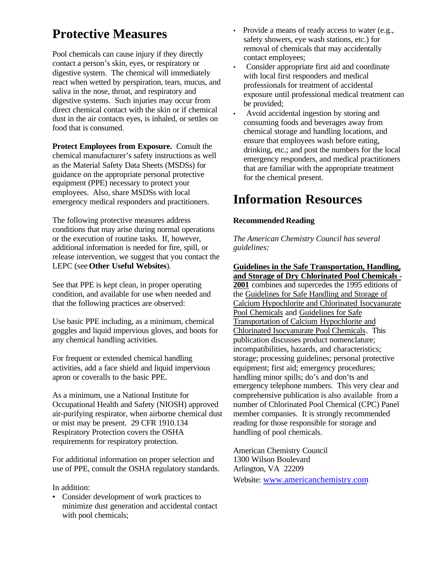## **Protective Measures**

Pool chemicals can cause injury if they directly contact a person's skin, eyes, or respiratory or digestive system. The chemical will immediately react when wetted by perspiration, tears, mucus, and saliva in the nose, throat, and respiratory and digestive systems. Such injuries may occur from direct chemical contact with the skin or if chemical dust in the air contacts eyes, is inhaled, or settles on food that is consumed.

**Protect Employees from Exposure.** Consult the chemical manufacturer's safety instructions as well as the Material Safety Data Sheets (MSDSs) for guidance on the appropriate personal protective equipment (PPE) necessary to protect your employees. Also, share MSDSs with local emergency medical responders and practitioners.

The following protective measures address conditions that may arise during normal operations or the execution of routine tasks. If, however, additional information is needed for fire, spill, or release intervention, we suggest that you contact the LEPC (see **Other Useful Websites**).

See that PPE is kept clean, in proper operating condition, and available for use when needed and that the following practices are observed:

Use basic PPE including, as a minimum, chemical goggles and liquid impervious gloves, and boots for any chemical handling activities.

For frequent or extended chemical handling activities, add a face shield and liquid impervious apron or coveralls to the basic PPE.

As a minimum, use a National Institute for Occupational Health and Safety (NIOSH) approved air-purifying respirator, when airborne chemical dust or mist may be present. 29 CFR 1910.134 Respiratory Protection covers the OSHA requirements for respiratory protection.

For additional information on proper selection and use of PPE, consult the OSHA regulatory standards.

#### In addition:

• Consider development of work practices to minimize dust generation and accidental contact with pool chemicals;

- Provide a means of ready access to water (e.g., safety showers, eye wash stations, etc.) for removal of chemicals that may accidentally contact employees;
- Consider appropriate first aid and coordinate with local first responders and medical professionals for treatment of accidental exposure until professional medical treatment can be provided;
- Avoid accidental ingestion by storing and consuming foods and beverages away from chemical storage and handling locations, and ensure that employees wash before eating, drinking, etc.; and post the numbers for the local emergency responders, and medical practitioners that are familiar with the appropriate treatment for the chemical present.

### **Information Resources**

#### **Recommended Reading**

*The American Chemistry Council has several guidelines:* 

**Guidelines in the Safe Transportation, Handling, and Storage of Dry Chlorinated Pool Chemicals 2001** combines and supercedes the 1995 editions of the Guidelines for Safe Handling and Storage of Calcium Hypochlorite and Chlorinated Isocyanurate Pool Chemicals and Guidelines for Safe Transportation of Calcium Hypochlorite and Chlorinated Isocyanurate Pool Chemicals. This publication discusses product nomenclature; incompatibilities, hazards, and characteristics; storage; processing guidelines; personal protective equipment; first aid; emergency procedures; handling minor spills; do's and don'ts and emergency telephone numbers. This very clear and comprehensive publication is also available from a number of Chlorinated Pool Chemical (CPC) Panel member companies. It is strongly recommended reading for those responsible for storage and handling of pool chemicals.

American Chemistry Council 1300 Wilson Boulevard Arlington, VA 22209 Website: www.americanchemistry.com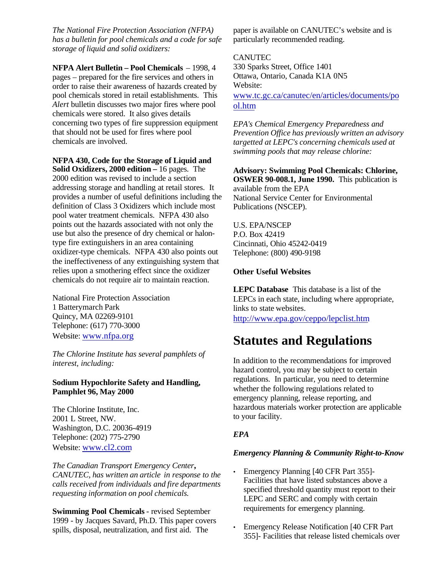*The National Fire Protection Association (NFPA) has a bulletin for pool chemicals and a code for safe storage of liquid and solid oxidizers:* 

**NFPA Alert Bulletin – Pool Chemicals** – 1998, 4 pages – prepared for the fire services and others in order to raise their awareness of hazards created by pool chemicals stored in retail establishments. This *Alert* bulletin discusses two major fires where pool chemicals were stored. It also gives details concerning two types of fire suppression equipment that should not be used for fires where pool chemicals are involved.

**NFPA 430, Code for the Storage of Liquid and Solid Oxidizers, 2000 edition –** 16 pages. The 2000 edition was revised to include a section addressing storage and handling at retail stores. It provides a number of useful definitions including the definition of Class 3 Oxidizers which include most pool water treatment chemicals. NFPA 430 also points out the hazards associated with not only the use but also the presence of dry chemical or halontype fire extinguishers in an area containing oxidizer-type chemicals. NFPA 430 also points out the ineffectiveness of any extinguishing system that relies upon a smothering effect since the oxidizer chemicals do not require air to maintain reaction.

National Fire Protection Association 1 Batterymarch Park Quincy, MA 02269-9101 Telephone: (617) 770-3000 Website: www.nfpa.org

*The Chlorine Institute has several pamphlets of interest, including:* 

#### **Sodium Hypochlorite Safety and Handling, Pamphlet 96, May 2000**

The Chlorine Institute, Inc. 2001 L Street, NW. Washington, D.C. 20036-4919 Telephone: (202) 775-2790 Website: www.cl2.com

*The Canadian Transport Emergency Center, CANUTEC, has written an article in response to the calls received from individuals and fire departments requesting information on pool chemicals.* 

**Swimming Pool Chemicals** - revised September 1999 - by Jacques Savard, Ph.D. This paper covers spills, disposal, neutralization, and first aid. The

paper is available on CANUTEC's website and is particularly recommended reading.

#### CANUTEC

330 Sparks Street, Office 1401 Ottawa, Ontario, Canada K1A 0N5 Website:

www.tc.gc.ca/canutec/en/articles/documents/po ol.htm

*EPA's Chemical Emergency Preparedness and Prevention Office has previously written an advisory targetted at LEPC's concerning chemicals used at swimming pools that may release chlorine:* 

**Advisory: Swimming Pool Chemicals: Chlorine, OSWER 90-008.1, June 1990.** This publication is available from the EPA National Service Center for Environmental

Publications (NSCEP).

U.S. EPA/NSCEP P.O. Box 42419 Cincinnati, Ohio 45242-0419 Telephone: (800) 490-9198

#### **Other Useful Websites**

**LEPC Database** This database is a list of the LEPCs in each state, including where appropriate, links to state websites. http://www.epa.gov/ceppo/lepclist.htm

### **Statutes and Regulations**

In addition to the recommendations for improved hazard control, you may be subject to certain regulations. In particular, you need to determine whether the following regulations related to emergency planning, release reporting, and hazardous materials worker protection are applicable to your facility.

#### *EPA*

#### *Emergency Planning & Community Right-to-Know*

- Emergency Planning [40 CFR Part 355]-Facilities that have listed substances above a specified threshold quantity must report to their LEPC and SERC and comply with certain requirements for emergency planning.
- Emergency Release Notification [40 CFR Part 355]- Facilities that release listed chemicals over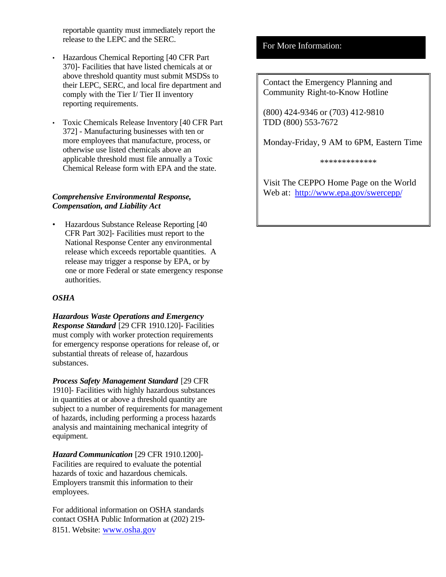reportable quantity must immediately report the release to the LEPC and the SERC.

- Hazardous Chemical Reporting [40 CFR Part] 370]- Facilities that have listed chemicals at or above threshold quantity must submit MSDSs to their LEPC, SERC, and local fire department and comply with the Tier I/ Tier II inventory reporting requirements.
- Toxic Chemicals Release Inventory [40 CFR Part 372] - Manufacturing businesses with ten or more employees that manufacture, process, or otherwise use listed chemicals above an applicable threshold must file annually a Toxic Chemical Release form with EPA and the state.

#### *Comprehensive Environmental Response, Compensation, and Liability Act*

• Hazardous Substance Release Reporting [40 CFR Part 302]- Facilities must report to the National Response Center any environmental release which exceeds reportable quantities. A release may trigger a response by EPA, or by one or more Federal or state emergency response authorities.

#### *OSHA*

*Hazardous Waste Operations and Emergency Response Standard* [29 CFR 1910.120]- Facilities must comply with worker protection requirements for emergency response operations for release of, or substantial threats of release of, hazardous substances.

*Process Safety Management Standard* [29 CFR 1910]- Facilities with highly hazardous substances in quantities at or above a threshold quantity are subject to a number of requirements for management of hazards, including performing a process hazards analysis and maintaining mechanical integrity of equipment.

*Hazard Communication* [29 CFR 1910.1200] Facilities are required to evaluate the potential hazards of toxic and hazardous chemicals. Employers transmit this information to their employees.

For additional information on OSHA standards contact OSHA Public Information at (202) 219 8151. Website: www.osha.gov

#### For More Information:

Contact the Emergency Planning and Community Right-to-Know Hotline

(800) 424-9346 or (703) 412-9810 TDD (800) 553-7672

Monday-Friday, 9 AM to 6PM, Eastern Time

\*\*\*\*\*\*\*\*\*\*\*\*\*

Visit The CEPPO Home Page on the World Web at: http://www.epa.gov/swercepp/